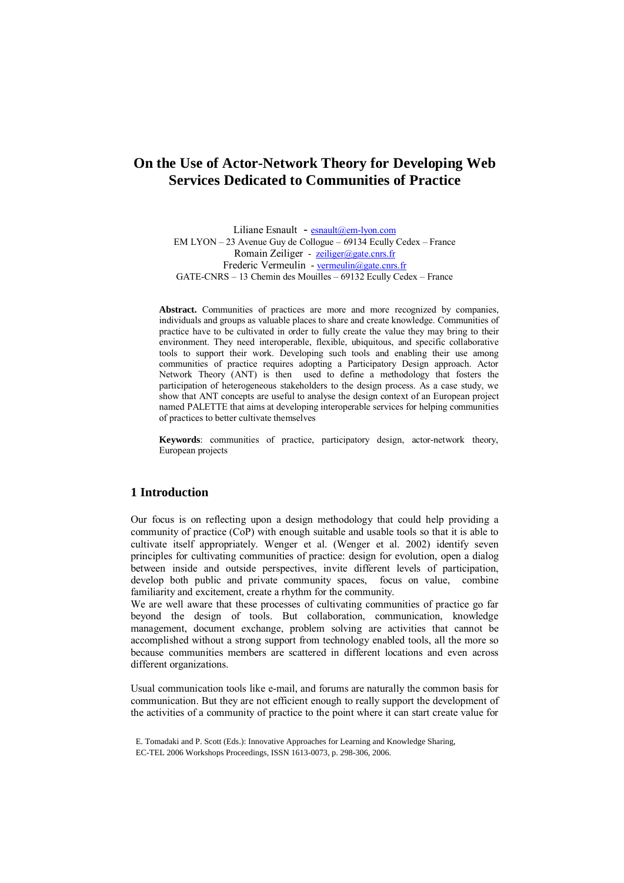# **On the Use of Actor-Network Theory for Developing Web Services Dedicated to Communities of Practice**

Liliane Esnault - [esnault@em-lyon.com](mailto:esnault@em-lyon.com) EM LYON – 23 Avenue Guy de Collogue – 69134 Ecully Cedex – France Romain Zeiliger - [zeiliger@gate.cnrs.fr](mailto:zeiliger@gate.cnrs.fr) Frederic Vermeulin - [vermeulin@gate.cnrs.fr](mailto:vermeulin@gate.cnrs.fr) GATE-CNRS – 13 Chemin des Mouilles – 69132 Ecully Cedex – France

**Abstract.** Communities of practices are more and more recognized by companies, individuals and groups as valuable places to share and create knowledge. Communities of practice have to be cultivated in order to fully create the value they may bring to their environment. They need interoperable, flexible, ubiquitous, and specific collaborative tools to support their work. Developing such tools and enabling their use among communities of practice requires adopting a Participatory Design approach. Actor Network Theory (ANT) is then used to define a methodology that fosters the participation of heterogeneous stakeholders to the design process. As a case study, we show that ANT concepts are useful to analyse the design context of an European project named PALETTE that aims at developing interoperable services for helping communities of practices to better cultivate themselves

**Keywords**: communities of practice, participatory design, actor-network theory, European projects

## **1 Introduction**

Our focus is on reflecting upon a design methodology that could help providing a community of practice (CoP) with enough suitable and usable tools so that it is able to cultivate itself appropriately. Wenger et al. (Wenger et al. 2002) identify seven principles for cultivating communities of practice: design for evolution, open a dialog between inside and outside perspectives, invite different levels of participation, develop both public and private community spaces, focus on value, combine familiarity and excitement, create a rhythm for the community.

We are well aware that these processes of cultivating communities of practice go far beyond the design of tools. But collaboration, communication, knowledge management, document exchange, problem solving are activities that cannot be accomplished without a strong support from technology enabled tools, all the more so because communities members are scattered in different locations and even across different organizations.

Usual communication tools like e-mail, and forums are naturally the common basis for communication. But they are not efficient enough to really support the development of the activities of a community of practice to the point where it can start create value for

E. Tomadaki and P. Scott (Eds.): Innovative Approaches for Learning and Knowledge Sharing, EC-TEL 2006 Workshops Proceedings, ISSN 1613-0073, p. 298-306, 2006.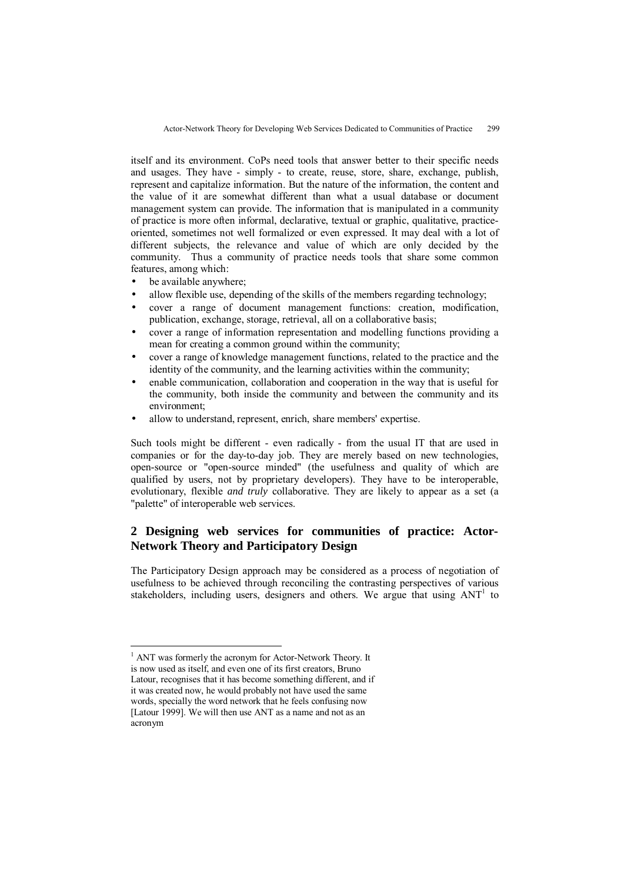itself and its environment. CoPs need tools that answer better to their specific needs and usages. They have - simply - to create, reuse, store, share, exchange, publish, represent and capitalize information. But the nature of the information, the content and the value of it are somewhat different than what a usual database or document management system can provide. The information that is manipulated in a community of practice is more often informal, declarative, textual or graphic, qualitative, practiceoriented, sometimes not well formalized or even expressed. It may deal with a lot of different subjects, the relevance and value of which are only decided by the community. Thus a community of practice needs tools that share some common features, among which:

- be available anywhere;
- allow flexible use, depending of the skills of the members regarding technology;
- cover a range of document management functions: creation, modification, publication, exchange, storage, retrieval, all on a collaborative basis;
- cover a range of information representation and modelling functions providing a mean for creating a common ground within the community;
- cover a range of knowledge management functions, related to the practice and the identity of the community, and the learning activities within the community;
- enable communication, collaboration and cooperation in the way that is useful for the community, both inside the community and between the community and its environment;
- allow to understand, represent, enrich, share members' expertise.

Such tools might be different - even radically - from the usual IT that are used in companies or for the day-to-day job. They are merely based on new technologies, open-source or "open-source minded" (the usefulness and quality of which are qualified by users, not by proprietary developers). They have to be interoperable, evolutionary, flexible *and truly* collaborative. They are likely to appear as a set (a "palette" of interoperable web services.

## **2 Designing web services for communities of practice: Actor-Network Theory and Participatory Design**

The Participatory Design approach may be considered as a process of negotiation of usefulness to be achieved through reconciling the contrasting perspectives of various stakeholders, including users, designers and others. We argue that using  $ANT<sup>1</sup>$  to

<sup>&</sup>lt;sup>1</sup> ANT was formerly the acronym for Actor-Network Theory. It is now used as itself, and even one of its first creators, Bruno Latour, recognises that it has become something different, and if it was created now, he would probably not have used the same words, specially the word network that he feels confusing now [Latour 1999]. We will then use ANT as a name and not as an acronym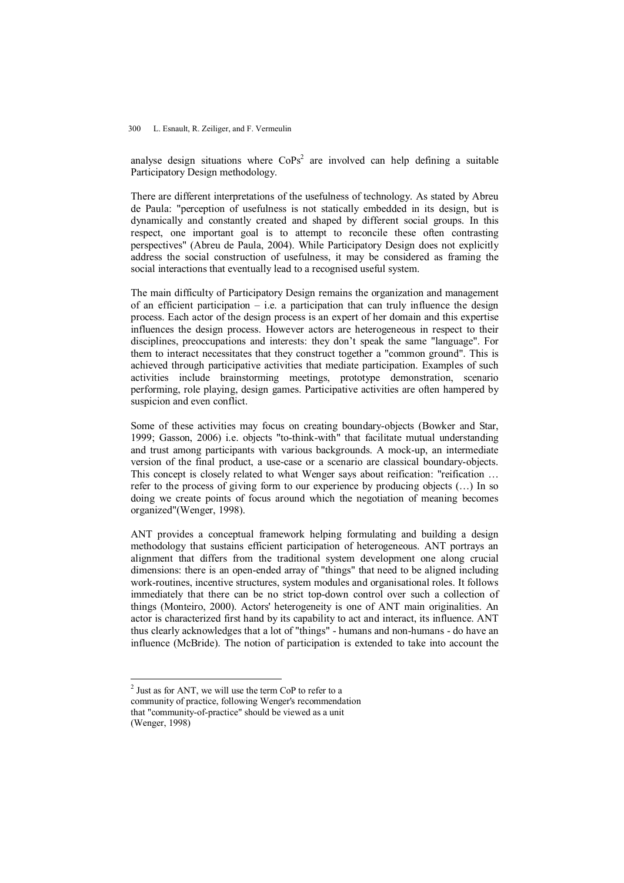#### 300 L. Esnault, R. Zeiliger, and F. Vermeulin

analyse design situations where  $\text{CoPs}^2$  are involved can help defining a suitable Participatory Design methodology.

There are different interpretations of the usefulness of technology. As stated by Abreu de Paula: "perception of usefulness is not statically embedded in its design, but is dynamically and constantly created and shaped by different social groups. In this respect, one important goal is to attempt to reconcile these often contrasting perspectives" (Abreu de Paula, 2004). While Participatory Design does not explicitly address the social construction of usefulness, it may be considered as framing the social interactions that eventually lead to a recognised useful system.

The main difficulty of Participatory Design remains the organization and management of an efficient participation – i.e. a participation that can truly influence the design process. Each actor of the design process is an expert of her domain and this expertise influences the design process. However actors are heterogeneous in respect to their disciplines, preoccupations and interests: they don't speak the same "language". For them to interact necessitates that they construct together a "common ground". This is achieved through participative activities that mediate participation. Examples of such activities include brainstorming meetings, prototype demonstration, scenario performing, role playing, design games. Participative activities are often hampered by suspicion and even conflict.

Some of these activities may focus on creating boundary-objects (Bowker and Star, 1999; Gasson, 2006) i.e. objects "to-think-with" that facilitate mutual understanding and trust among participants with various backgrounds. A mock-up, an intermediate version of the final product, a use-case or a scenario are classical boundary-objects. This concept is closely related to what Wenger says about reification: "reification … refer to the process of giving form to our experience by producing objects (…) In so doing we create points of focus around which the negotiation of meaning becomes organized"(Wenger, 1998).

ANT provides a conceptual framework helping formulating and building a design methodology that sustains efficient participation of heterogeneous. ANT portrays an alignment that differs from the traditional system development one along crucial dimensions: there is an open-ended array of "things" that need to be aligned including work-routines, incentive structures, system modules and organisational roles. It follows immediately that there can be no strict top-down control over such a collection of things (Monteiro, 2000). Actors' heterogeneity is one of ANT main originalities. An actor is characterized first hand by its capability to act and interact, its influence. ANT thus clearly acknowledges that a lot of "things" - humans and non-humans - do have an influence (McBride). The notion of participation is extended to take into account the

 $2$  Just as for ANT, we will use the term CoP to refer to a community of practice, following Wenger's recommendation that "community-of-practice" should be viewed as a unit (Wenger, 1998)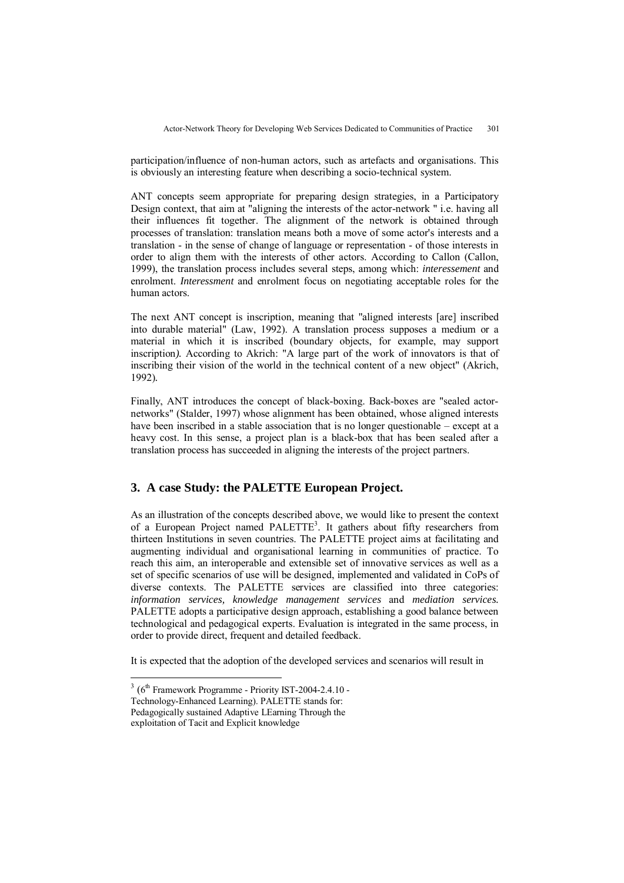participation/influence of non-human actors, such as artefacts and organisations. This is obviously an interesting feature when describing a socio-technical system.

ANT concepts seem appropriate for preparing design strategies, in a Participatory Design context, that aim at "aligning the interests of the actor-network " i.e. having all their influences fit together. The alignment of the network is obtained through processes of translation: translation means both a move of some actor's interests and a translation - in the sense of change of language or representation - of those interests in order to align them with the interests of other actors. According to Callon (Callon, 1999), the translation process includes several steps, among which: *interessement* and enrolment. *Interessment* and enrolment focus on negotiating acceptable roles for the human actors.

The next ANT concept is inscription, meaning that "aligned interests [are] inscribed into durable material" (Law, 1992). A translation process supposes a medium or a material in which it is inscribed (boundary objects, for example, may support inscription*).* According to Akrich: "A large part of the work of innovators is that of inscribing their vision of the world in the technical content of a new object" (Akrich, 1992)*.*

Finally, ANT introduces the concept of black-boxing. Back-boxes are "sealed actornetworks" (Stalder, 1997) whose alignment has been obtained, whose aligned interests have been inscribed in a stable association that is no longer questionable – except at a heavy cost. In this sense, a project plan is a black-box that has been sealed after a translation process has succeeded in aligning the interests of the project partners.

## **3. A case Study: the PALETTE European Project.**

As an illustration of the concepts described above, we would like to present the context of a European Project named PALETTE<sup>3</sup>. It gathers about fifty researchers from thirteen Institutions in seven countries. The PALETTE project aims at facilitating and augmenting individual and organisational learning in communities of practice. To reach this aim, an interoperable and extensible set of innovative services as well as a set of specific scenarios of use will be designed, implemented and validated in CoPs of diverse contexts. The PALETTE services are classified into three categories: *information services, knowledge management services* and *mediation services.* PALETTE adopts a participative design approach, establishing a good balance between technological and pedagogical experts. Evaluation is integrated in the same process, in order to provide direct, frequent and detailed feedback.

It is expected that the adoption of the developed services and scenarios will result in

 $3(6<sup>th</sup>$  Framework Programme - Priority IST-2004-2.4.10 -

Technology-Enhanced Learning). PALETTE stands for:

Pedagogically sustained Adaptive LEarning Through the

exploitation of Tacit and Explicit knowledge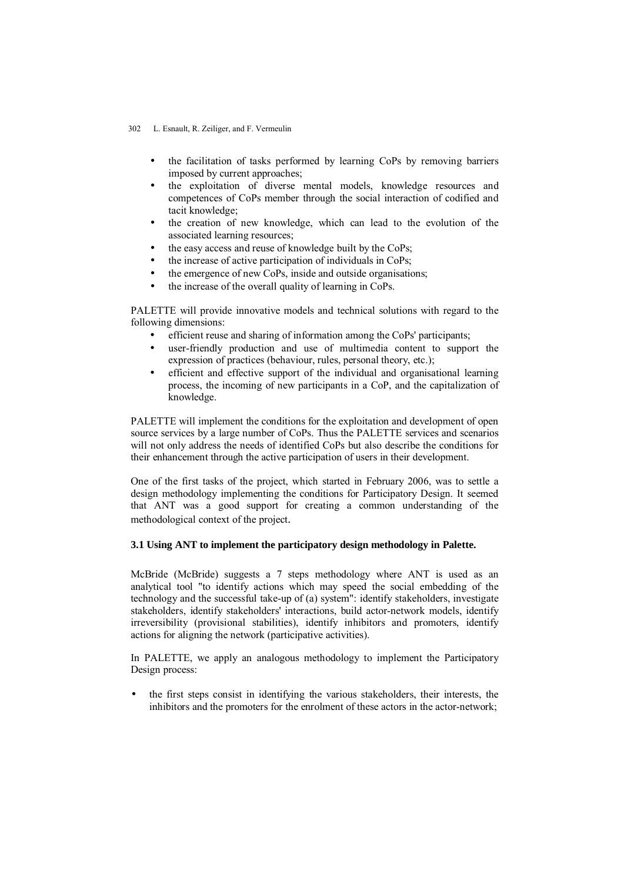#### 302 L. Esnault, R. Zeiliger, and F. Vermeulin

- the facilitation of tasks performed by learning CoPs by removing barriers imposed by current approaches;
- the exploitation of diverse mental models, knowledge resources and competences of CoPs member through the social interaction of codified and tacit knowledge;
- the creation of new knowledge, which can lead to the evolution of the associated learning resources;
- the easy access and reuse of knowledge built by the CoPs;
- the increase of active participation of individuals in CoPs;
- the emergence of new CoPs, inside and outside organisations;
- the increase of the overall quality of learning in CoPs.

PALETTE will provide innovative models and technical solutions with regard to the following dimensions:

- efficient reuse and sharing of information among the CoPs' participants;
- user-friendly production and use of multimedia content to support the expression of practices (behaviour, rules, personal theory, etc.);
- efficient and effective support of the individual and organisational learning process, the incoming of new participants in a CoP, and the capitalization of knowledge.

PALETTE will implement the conditions for the exploitation and development of open source services by a large number of CoPs. Thus the PALETTE services and scenarios will not only address the needs of identified CoPs but also describe the conditions for their enhancement through the active participation of users in their development.

One of the first tasks of the project, which started in February 2006, was to settle a design methodology implementing the conditions for Participatory Design. It seemed that ANT was a good support for creating a common understanding of the methodological context of the project.

#### **3.1 Using ANT to implement the participatory design methodology in Palette.**

McBride (McBride) suggests a 7 steps methodology where ANT is used as an analytical tool "to identify actions which may speed the social embedding of the technology and the successful take-up of (a) system": identify stakeholders, investigate stakeholders, identify stakeholders' interactions, build actor-network models, identify irreversibility (provisional stabilities), identify inhibitors and promoters, identify actions for aligning the network (participative activities).

In PALETTE, we apply an analogous methodology to implement the Participatory Design process:

• the first steps consist in identifying the various stakeholders, their interests, the inhibitors and the promoters for the enrolment of these actors in the actor-network;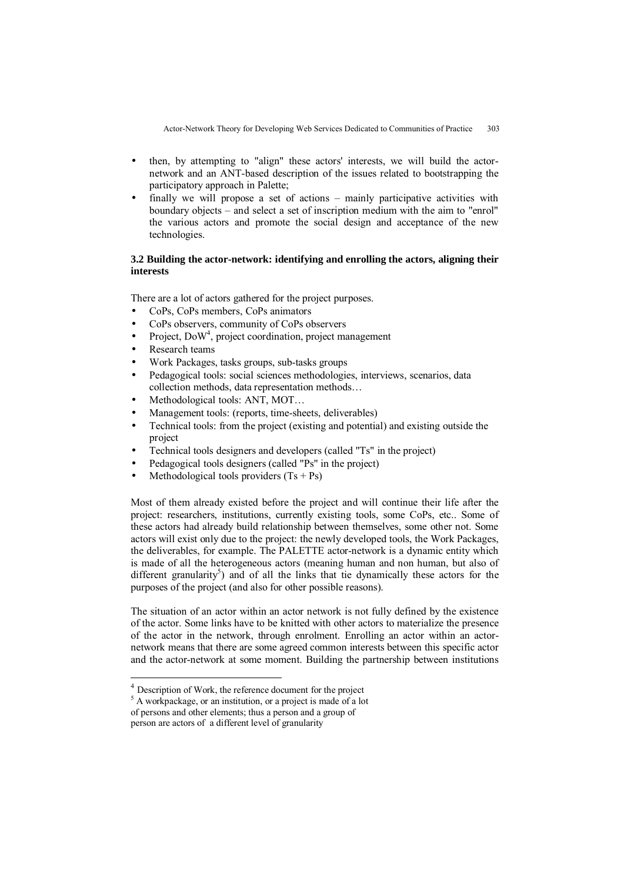Actor-Network Theory for Developing Web Services Dedicated to Communities of Practice 303 

- then, by attempting to "align" these actors' interests, we will build the actornetwork and an ANT-based description of the issues related to bootstrapping the participatory approach in Palette;
- finally we will propose a set of actions mainly participative activities with boundary objects – and select a set of inscription medium with the aim to "enrol" the various actors and promote the social design and acceptance of the new technologies.

#### **3.2 Building the actor-network: identifying and enrolling the actors, aligning their interests**

There are a lot of actors gathered for the project purposes.

- CoPs, CoPs members, CoPs animators
- CoPs observers, community of CoPs observers
- Project, DoW<sup>4</sup>, project coordination, project management
- Research teams
- Work Packages, tasks groups, sub-tasks groups
- Pedagogical tools: social sciences methodologies, interviews, scenarios, data collection methods, data representation methods…
- Methodological tools: ANT, MOT…
- Management tools: (reports, time-sheets, deliverables)
- Technical tools: from the project (existing and potential) and existing outside the project
- Technical tools designers and developers (called "Ts" in the project)
- Pedagogical tools designers (called "Ps" in the project)
- Methodological tools providers  $(Ts + Ps)$

Most of them already existed before the project and will continue their life after the project: researchers, institutions, currently existing tools, some CoPs, etc.. Some of these actors had already build relationship between themselves, some other not. Some actors will exist only due to the project: the newly developed tools, the Work Packages, the deliverables, for example. The PALETTE actor-network is a dynamic entity which is made of all the heterogeneous actors (meaning human and non human, but also of different granularity<sup>5</sup>) and of all the links that tie dynamically these actors for the purposes of the project (and also for other possible reasons).

The situation of an actor within an actor network is not fully defined by the existence of the actor. Some links have to be knitted with other actors to materialize the presence of the actor in the network, through enrolment. Enrolling an actor within an actornetwork means that there are some agreed common interests between this specific actor and the actor-network at some moment. Building the partnership between institutions

<sup>4</sup> Description of Work, the reference document for the project

<sup>&</sup>lt;sup>5</sup> A workpackage, or an institution, or a project is made of a lot

of persons and other elements; thus a person and a group of

person are actors of a different level of granularity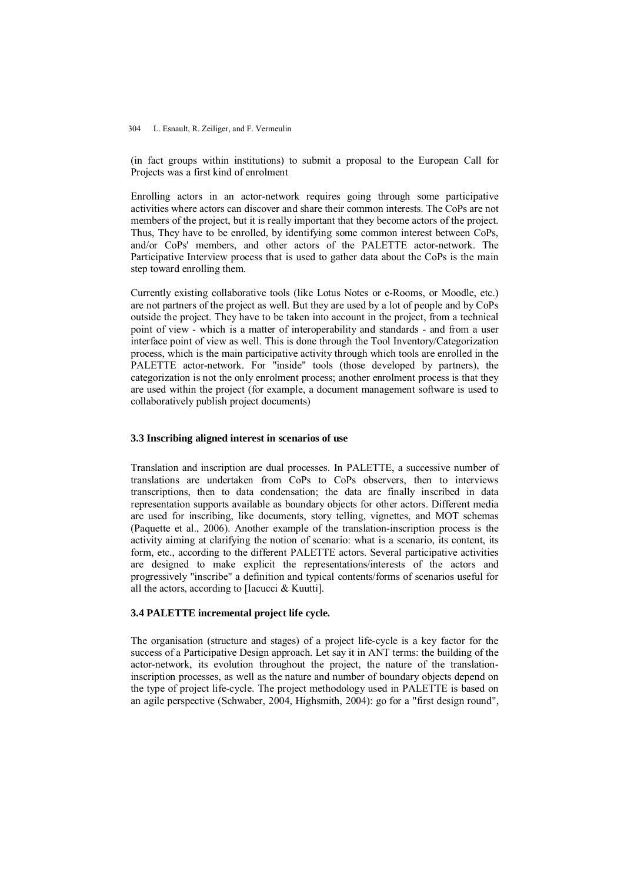#### 304 L. Esnault, R. Zeiliger, and F. Vermeulin

(in fact groups within institutions) to submit a proposal to the European Call for Projects was a first kind of enrolment

Enrolling actors in an actor-network requires going through some participative activities where actors can discover and share their common interests. The CoPs are not members of the project, but it is really important that they become actors of the project. Thus, They have to be enrolled, by identifying some common interest between CoPs, and/or CoPs' members, and other actors of the PALETTE actor-network. The Participative Interview process that is used to gather data about the CoPs is the main step toward enrolling them.

Currently existing collaborative tools (like Lotus Notes or e-Rooms, or Moodle, etc.) are not partners of the project as well. But they are used by a lot of people and by CoPs outside the project. They have to be taken into account in the project, from a technical point of view - which is a matter of interoperability and standards - and from a user interface point of view as well. This is done through the Tool Inventory/Categorization process, which is the main participative activity through which tools are enrolled in the PALETTE actor-network. For "inside" tools (those developed by partners), the categorization is not the only enrolment process; another enrolment process is that they are used within the project (for example, a document management software is used to collaboratively publish project documents)

#### **3.3 Inscribing aligned interest in scenarios of use**

Translation and inscription are dual processes. In PALETTE, a successive number of translations are undertaken from CoPs to CoPs observers, then to interviews transcriptions, then to data condensation; the data are finally inscribed in data representation supports available as boundary objects for other actors. Different media are used for inscribing, like documents, story telling, vignettes, and MOT schemas (Paquette et al., 2006). Another example of the translation-inscription process is the activity aiming at clarifying the notion of scenario: what is a scenario, its content, its form, etc., according to the different PALETTE actors. Several participative activities are designed to make explicit the representations/interests of the actors and progressively "inscribe" a definition and typical contents/forms of scenarios useful for all the actors, according to [Iacucci & Kuutti].

### **3.4 PALETTE incremental project life cycle.**

The organisation (structure and stages) of a project life-cycle is a key factor for the success of a Participative Design approach. Let say it in ANT terms: the building of the actor-network, its evolution throughout the project, the nature of the translationinscription processes, as well as the nature and number of boundary objects depend on the type of project life-cycle. The project methodology used in PALETTE is based on an agile perspective (Schwaber, 2004, Highsmith, 2004): go for a "first design round",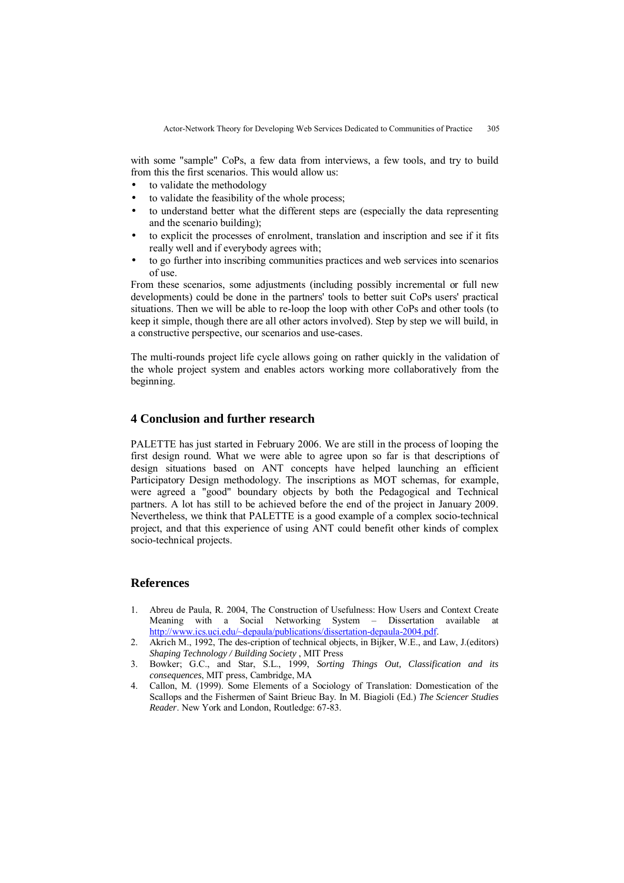with some "sample" CoPs, a few data from interviews, a few tools, and try to build from this the first scenarios. This would allow us:

- to validate the methodology
- to validate the feasibility of the whole process;
- to understand better what the different steps are (especially the data representing and the scenario building);
- to explicit the processes of enrolment, translation and inscription and see if it fits really well and if everybody agrees with;
- to go further into inscribing communities practices and web services into scenarios of use.

From these scenarios, some adjustments (including possibly incremental or full new developments) could be done in the partners' tools to better suit CoPs users' practical situations. Then we will be able to re-loop the loop with other CoPs and other tools (to keep it simple, though there are all other actors involved). Step by step we will build, in a constructive perspective, our scenarios and use-cases.

The multi-rounds project life cycle allows going on rather quickly in the validation of the whole project system and enables actors working more collaboratively from the beginning.

### **4 Conclusion and further research**

PALETTE has just started in February 2006. We are still in the process of looping the first design round. What we were able to agree upon so far is that descriptions of design situations based on ANT concepts have helped launching an efficient Participatory Design methodology. The inscriptions as MOT schemas, for example, were agreed a "good" boundary objects by both the Pedagogical and Technical partners. A lot has still to be achieved before the end of the project in January 2009. Nevertheless, we think that PALETTE is a good example of a complex socio-technical project, and that this experience of using ANT could benefit other kinds of complex socio-technical projects.

### **References**

- 1. Abreu de Paula, R. 2004, The Construction of Usefulness: How Users and Context Create Meaning with a Social Networking System – Dissertation available at [http://www.ics.uci.edu/~depaula/publications/dissertation-depaula-2004.pdf.](http://www.ics.uci.edu/~depaula/publications/dissertation-depaula-2004.pdf)
- 2. Akrich M., 1992, The des-cription of technical objects, in Bijker, W.E., and Law, J.(editors) *Shaping Technology / Building Society* , MIT Press
- 3. Bowker; G.C., and Star, S.L., 1999, *Sorting Things Out, Classification and its consequences*, MIT press, Cambridge, MA
- 4. Callon, M. (1999). Some Elements of a Sociology of Translation: Domestication of the Scallops and the Fishermen of Saint Brieuc Bay. In M. Biagioli (Ed.) *The Sciencer Studies Reader*. New York and London, Routledge: 67-83.